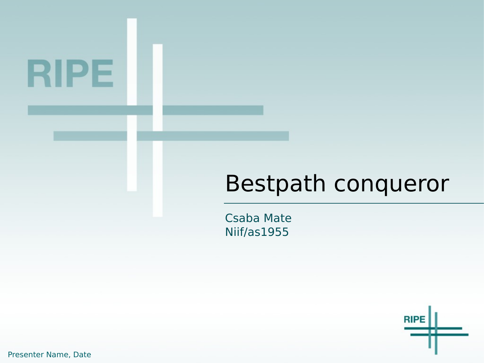# RIPE

#### Bestpath conqueror

**Csaba Mate** Niif/as1955



Presenter Name, Date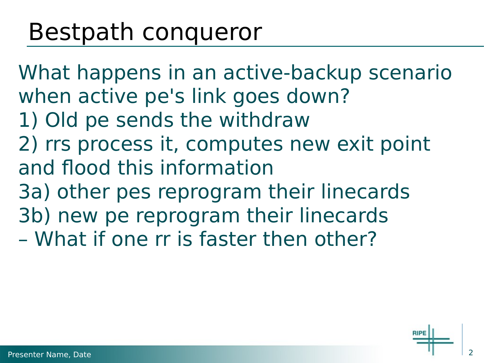### Bestpath conqueror

What happens in an active-backup scenario when active pe's link goes down? 1) Old pe sends the withdraw 2) rrs process it, computes new exit point and flood this information 3a) other pes reprogram their linecards 3b) new pe reprogram their linecards – What if one rr is faster then other?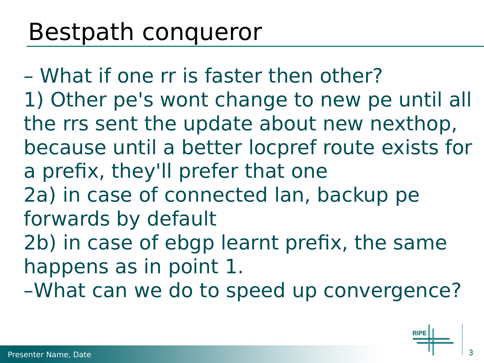### Bestpath conqueror

– What if one rr is faster then other? 1) Other pe's wont change to new pe until all the rrs sent the update about new nexthop, because until a better locpref route exists for a prefix, they'll prefer that one 2a) in case of connected lan, backup pe forwards by default 2b) in case of ebgp learnt prefix, the same happens as in point 1. –What can we do to speed up convergence?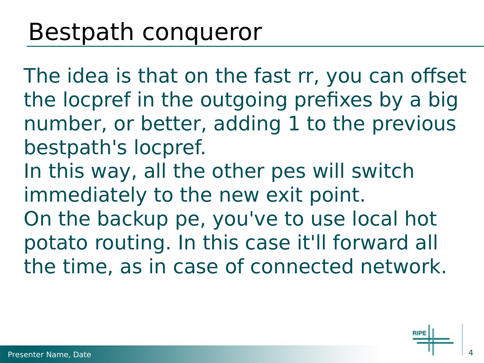The idea is that on the fast rr, you can offset the locpref in the outgoing prefixes by a big number, or better, adding 1 to the previous bestpath's locpref. In this way, all the other pes will switch immediately to the new exit point. On the backup pe, you've to use local hot potato routing. In this case it'll forward all

the time, as in case of connected network.